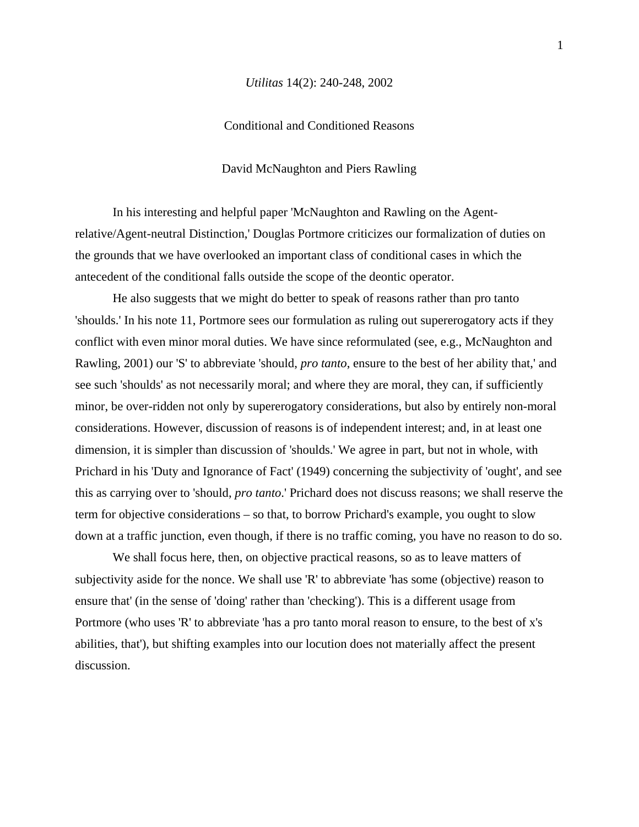## *Utilitas* 14(2): 240-248, 2002

## Conditional and Conditioned Reasons

David McNaughton and Piers Rawling

In his interesting and helpful paper 'McNaughton and Rawling on the Agentrelative/Agent-neutral Distinction,' Douglas Portmore criticizes our formalization of duties on the grounds that we have overlooked an important class of conditional cases in which the antecedent of the conditional falls outside the scope of the deontic operator.

He also suggests that we might do better to speak of reasons rather than pro tanto 'shoulds.' In his note 11, Portmore sees our formulation as ruling out supererogatory acts if they conflict with even minor moral duties. We have since reformulated (see, e.g., McNaughton and Rawling, 2001) our 'S' to abbreviate 'should, *pro tanto*, ensure to the best of her ability that,' and see such 'shoulds' as not necessarily moral; and where they are moral, they can, if sufficiently minor, be over-ridden not only by supererogatory considerations, but also by entirely non-moral considerations. However, discussion of reasons is of independent interest; and, in at least one dimension, it is simpler than discussion of 'shoulds.' We agree in part, but not in whole, with Prichard in his 'Duty and Ignorance of Fact' (1949) concerning the subjectivity of 'ought', and see this as carrying over to 'should, *pro tanto*.' Prichard does not discuss reasons; we shall reserve the term for objective considerations – so that, to borrow Prichard's example, you ought to slow down at a traffic junction, even though, if there is no traffic coming, you have no reason to do so.

We shall focus here, then, on objective practical reasons, so as to leave matters of subjectivity aside for the nonce. We shall use 'R' to abbreviate 'has some (objective) reason to ensure that' (in the sense of 'doing' rather than 'checking'). This is a different usage from Portmore (who uses 'R' to abbreviate 'has a pro tanto moral reason to ensure, to the best of x's abilities, that'), but shifting examples into our locution does not materially affect the present discussion.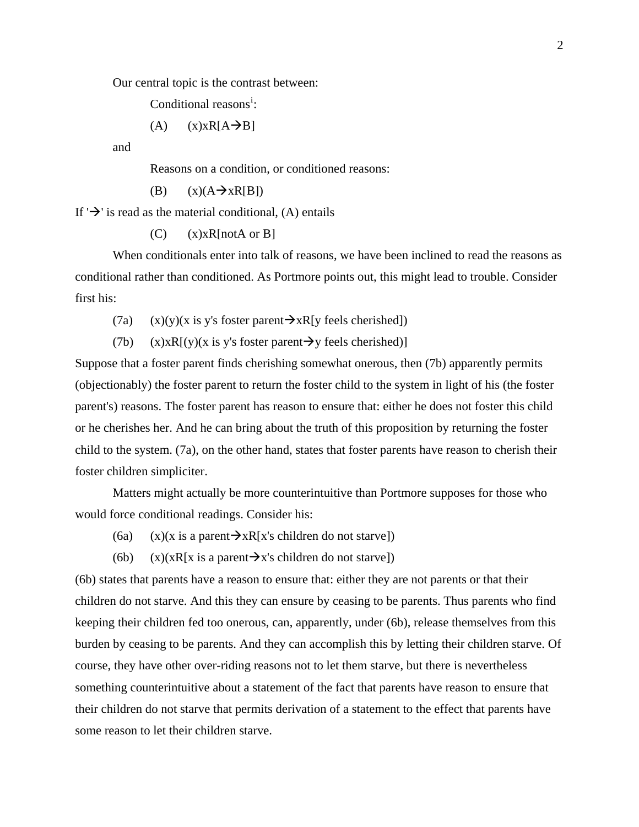Our central topic is the contrast between:

Cond[i](#page-9-0)tional reasons<sup>i</sup>:

(A)  $(x) \times R[A \rightarrow B]$ 

and

Reasons on a condition, or conditioned reasons:

(B)  $(x)(A \rightarrow xR[B])$ 

If  $\rightarrow$  is read as the material conditional, (A) entails

 $(C)$  (x)xR[notA or B]

When conditionals enter into talk of reasons, we have been inclined to read the reasons as conditional rather than conditioned. As Portmore points out, this might lead to trouble. Consider first his:

(7a) (x)(y)(x is y's foster parent $\rightarrow xR[y$  feels cherished])

(7b) (x)xR[(y)(x is y's foster parent  $\rightarrow$ y feels cherished)]

Suppose that a foster parent finds cherishing somewhat onerous, then (7b) apparently permits (objectionably) the foster parent to return the foster child to the system in light of his (the foster parent's) reasons. The foster parent has reason to ensure that: either he does not foster this child or he cherishes her. And he can bring about the truth of this proposition by returning the foster child to the system. (7a), on the other hand, states that foster parents have reason to cherish their foster children simpliciter.

 Matters might actually be more counterintuitive than Portmore supposes for those who would force conditional readings. Consider his:

- (6a) (x)(x is a parent  $\rightarrow xR[x]$ 's children do not starve])
- (6b) (x)(xR[x is a parent  $\rightarrow x$ 's children do not starve])

(6b) states that parents have a reason to ensure that: either they are not parents or that their children do not starve. And this they can ensure by ceasing to be parents. Thus parents who find keeping their children fed too onerous, can, apparently, under (6b), release themselves from this burden by ceasing to be parents. And they can accomplish this by letting their children starve. Of course, they have other over-riding reasons not to let them starve, but there is nevertheless something counterintuitive about a statement of the fact that parents have reason to ensure that their children do not starve that permits derivation of a statement to the effect that parents have some reason to let their children starve.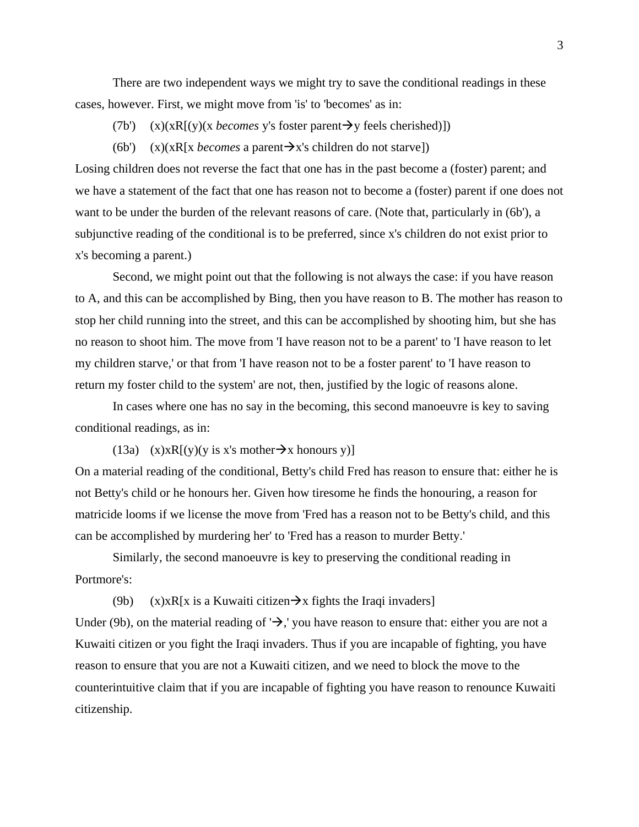There are two independent ways we might try to save the conditional readings in these cases, however. First, we might move from 'is' to 'becomes' as in:

- (7b') (x)(xR[(y)(x *becomes* y's foster parent  $\rightarrow$ y feels cherished)])
- (6b') (x)(xR[x *becomes* a parent  $\rightarrow x$ 's children do not starve])

Losing children does not reverse the fact that one has in the past become a (foster) parent; and we have a statement of the fact that one has reason not to become a (foster) parent if one does not want to be under the burden of the relevant reasons of care. (Note that, particularly in (6b'), a subjunctive reading of the conditional is to be preferred, since x's children do not exist prior to x's becoming a parent.)

 Second, we might point out that the following is not always the case: if you have reason to A, and this can be accomplished by Bing, then you have reason to B. The mother has reason to stop her child running into the street, and this can be accomplished by shooting him, but she has no reason to shoot him. The move from 'I have reason not to be a parent' to 'I have reason to let my children starve,' or that from 'I have reason not to be a foster parent' to 'I have reason to return my foster child to the system' are not, then, justified by the logic of reasons alone.

In cases where one has no say in the becoming, this second manoeuvre is key to saving conditional readings, as in:

(13a) (x)xR[(y)(y is x's mother  $\rightarrow$  x honours y)]

On a material reading of the conditional, Betty's child Fred has reason to ensure that: either he is not Betty's child or he honours her. Given how tiresome he finds the honouring, a reason for matricide looms if we license the move from 'Fred has a reason not to be Betty's child, and this can be accomplished by murdering her' to 'Fred has a reason to murder Betty.'

 Similarly, the second manoeuvre is key to preserving the conditional reading in Portmore's:

(9b) (x)xR[x is a Kuwaiti citizen $\rightarrow x$  fights the Iraqi invaders]

Under (9b), on the material reading of ' $\rightarrow$ ,' you have reason to ensure that: either you are not a Kuwaiti citizen or you fight the Iraqi invaders. Thus if you are incapable of fighting, you have reason to ensure that you are not a Kuwaiti citizen, and we need to block the move to the counterintuitive claim that if you are incapable of fighting you have reason to renounce Kuwaiti citizenship.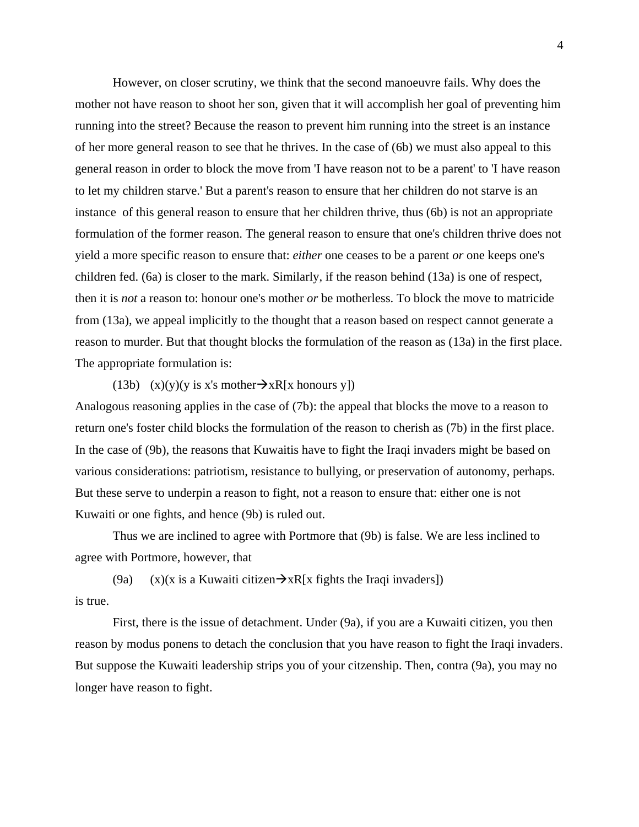However, on closer scrutiny, we think that the second manoeuvre fails. Why does the mother not have reason to shoot her son, given that it will accomplish her goal of preventing him running into the street? Because the reason to prevent him running into the street is an instance of her more general reason to see that he thrives. In the case of (6b) we must also appeal to this general reason in order to block the move from 'I have reason not to be a parent' to 'I have reason to let my children starve.' But a parent's reason to ensure that her children do not starve is an instance of this general reason to ensure that her children thrive, thus (6b) is not an appropriate formulation of the former reason. The general reason to ensure that one's children thrive does not yield a more specific reason to ensure that: *either* one ceases to be a parent *or* one keeps one's children fed. (6a) is closer to the mark. Similarly, if the reason behind (13a) is one of respect, then it is *not* a reason to: honour one's mother *or* be motherless. To block the move to matricide from (13a), we appeal implicitly to the thought that a reason based on respect cannot generate a reason to murder. But that thought blocks the formulation of the reason as (13a) in the first place. The appropriate formulation is:

## (13b) (x)(y)(y is x's mother $\rightarrow xR[x$  honours y])

Analogous reasoning applies in the case of (7b): the appeal that blocks the move to a reason to return one's foster child blocks the formulation of the reason to cherish as (7b) in the first place. In the case of (9b), the reasons that Kuwaitis have to fight the Iraqi invaders might be based on various considerations: patriotism, resistance to bullying, or preservation of autonomy, perhaps. But these serve to underpin a reason to fight, not a reason to ensure that: either one is not Kuwaiti or one fights, and hence (9b) is ruled out.

 Thus we are inclined to agree with Portmore that (9b) is false. We are less inclined to agree with Portmore, however, that

(9a) (x)(x is a Kuwaiti citizen $\rightarrow xR[x$  fights the Iraqi invaders]) is true.

 First, there is the issue of detachment. Under (9a), if you are a Kuwaiti citizen, you then reason by modus ponens to detach the conclusion that you have reason to fight the Iraqi invaders. But suppose the Kuwaiti leadership strips you of your citzenship. Then, contra (9a), you may no longer have reason to fight.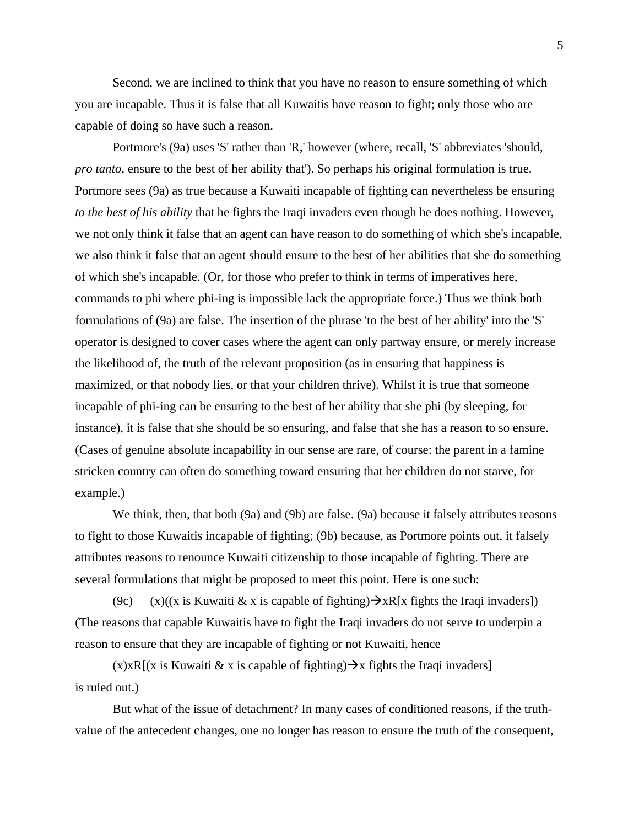Second, we are inclined to think that you have no reason to ensure something of which you are incapable. Thus it is false that all Kuwaitis have reason to fight; only those who are capable of doing so have such a reason.

Portmore's (9a) uses 'S' rather than 'R,' however (where, recall, 'S' abbreviates 'should, *pro tanto*, ensure to the best of her ability that'). So perhaps his original formulation is true. Portmore sees (9a) as true because a Kuwaiti incapable of fighting can nevertheless be ensuring *to the best of his ability* that he fights the Iraqi invaders even though he does nothing. However, we not only think it false that an agent can have reason to do something of which she's incapable, we also think it false that an agent should ensure to the best of her abilities that she do something of which she's incapable. (Or, for those who prefer to think in terms of imperatives here, commands to phi where phi-ing is impossible lack the appropriate force.) Thus we think both formulations of (9a) are false. The insertion of the phrase 'to the best of her ability' into the 'S' operator is designed to cover cases where the agent can only partway ensure, or merely increase the likelihood of, the truth of the relevant proposition (as in ensuring that happiness is maximized, or that nobody lies, or that your children thrive). Whilst it is true that someone incapable of phi-ing can be ensuring to the best of her ability that she phi (by sleeping, for instance), it is false that she should be so ensuring, and false that she has a reason to so ensure. (Cases of genuine absolute incapability in our sense are rare, of course: the parent in a famine stricken country can often do something toward ensuring that her children do not starve, for example.)

We think, then, that both (9a) and (9b) are false. (9a) because it falsely attributes reasons to fight to those Kuwaitis incapable of fighting; (9b) because, as Portmore points out, it falsely attributes reasons to renounce Kuwaiti citizenship to those incapable of fighting. There are several formulations that might be proposed to meet this point. Here is one such:

(9c) (x)((x is Kuwaiti & x is capable of fighting) $\rightarrow xR[x$  fights the Iraqi invaders]) (The reasons that capable Kuwaitis have to fight the Iraqi invaders do not serve to underpin a reason to ensure that they are incapable of fighting or not Kuwaiti, hence

 $(x)$ xR[(x is Kuwaiti & x is capable of fighting) $\rightarrow$ x fights the Iraqi invaders] is ruled out.)

 But what of the issue of detachment? In many cases of conditioned reasons, if the truthvalue of the antecedent changes, one no longer has reason to ensure the truth of the consequent,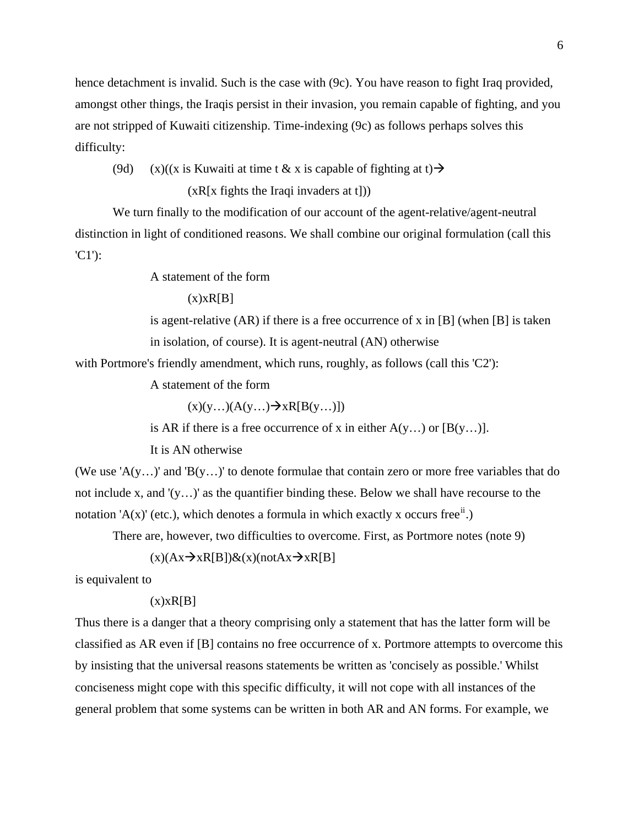hence detachment is invalid. Such is the case with (9c). You have reason to fight Iraq provided, amongst other things, the Iraqis persist in their invasion, you remain capable of fighting, and you are not stripped of Kuwaiti citizenship. Time-indexing (9c) as follows perhaps solves this difficulty:

(9d) (x)((x is Kuwaiti at time t & x is capable of fighting at t)  $\rightarrow$  $(xR[x \text{ flights the Iraqi invaders at t}]))$ 

 We turn finally to the modification of our account of the agent-relative/agent-neutral distinction in light of conditioned reasons. We shall combine our original formulation (call this 'C1'):

A statement of the form

 $(x)$  $x$  $R[B]$ 

is agent-relative  $(AR)$  if there is a free occurrence of x in [B] (when [B] is taken in isolation, of course). It is agent-neutral (AN) otherwise

with Portmore's friendly amendment, which runs, roughly, as follows (call this 'C2'):

A statement of the form

 $(x)(y...)$  $(A(y...) \rightarrow xR[B(y...)])$ 

is AR if there is a free occurrence of x in either  $A(y...)$  or  $[B(y...)]$ .

It is AN otherwise

(We use 'A(y...)' and 'B(y...)' to denote formulae that contain zero or more free variables that do not include x, and '(y…)' as the quantifier binding these. Below we shall have recourse to the notation 'A(x)' (etc.), which denotes a formula in which exactly x occurs free<sup>[ii](#page-9-1)</sup>.)

There are, however, two difficulties to overcome. First, as Portmore notes (note 9)

 $(x)(Ax \rightarrow xR[B])&(x)(notAx \rightarrow xR[B])$ 

is equivalent to

 $(x)$  $x$  $R[B]$ 

Thus there is a danger that a theory comprising only a statement that has the latter form will be classified as AR even if [B] contains no free occurrence of x. Portmore attempts to overcome this by insisting that the universal reasons statements be written as 'concisely as possible.' Whilst conciseness might cope with this specific difficulty, it will not cope with all instances of the general problem that some systems can be written in both AR and AN forms. For example, we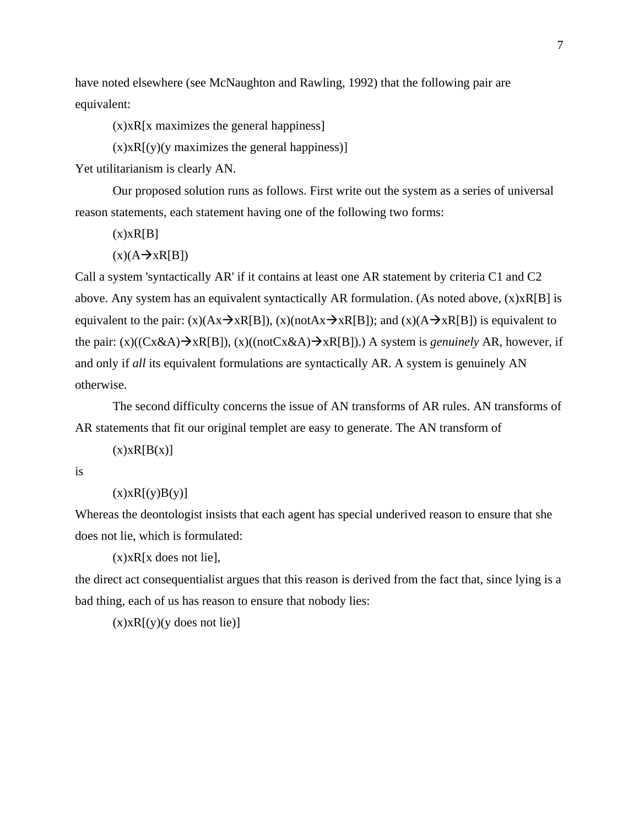have noted elsewhere (see McNaughton and Rawling, 1992) that the following pair are equivalent:

(x)xR[x maximizes the general happiness]

 $(x)$ x $R[(y)(y)$  maximizes the general happiness)

Yet utilitarianism is clearly AN.

Our proposed solution runs as follows. First write out the system as a series of universal reason statements, each statement having one of the following two forms:

 $(x)xR[B]$ 

 $(x)(A \rightarrow xR[B])$ 

Call a system 'syntactically AR' if it contains at least one AR statement by criteria C1 and C2 above. Any system has an equivalent syntactically AR formulation. (As noted above, (x)xR[B] is equivalent to the pair: (x)(Ax $\rightarrow$ xR[B]), (x)(notAx $\rightarrow$ xR[B]); and (x)(A $\rightarrow$ xR[B]) is equivalent to the pair:  $(x)((Cx&A) \rightarrow xR[B])$ ,  $(x)((notCx&A) \rightarrow xR[B])$ .) A system is *genuinely* AR, however, if and only if *all* its equivalent formulations are syntactically AR. A system is genuinely AN otherwise.

The second difficulty concerns the issue of AN transforms of AR rules. AN transforms of AR statements that fit our original templet are easy to generate. The AN transform of

 $(x)xR[B(x)]$ 

is

 $(x)xR[(y)B(y)]$ 

Whereas the deontologist insists that each agent has special underived reason to ensure that she does not lie, which is formulated:

 $(x)$ x $R[x$  does not liel,

the direct act consequentialist argues that this reason is derived from the fact that, since lying is a bad thing, each of us has reason to ensure that nobody lies:

 $(x)$ x $R[(y)(y)$  does not lie)]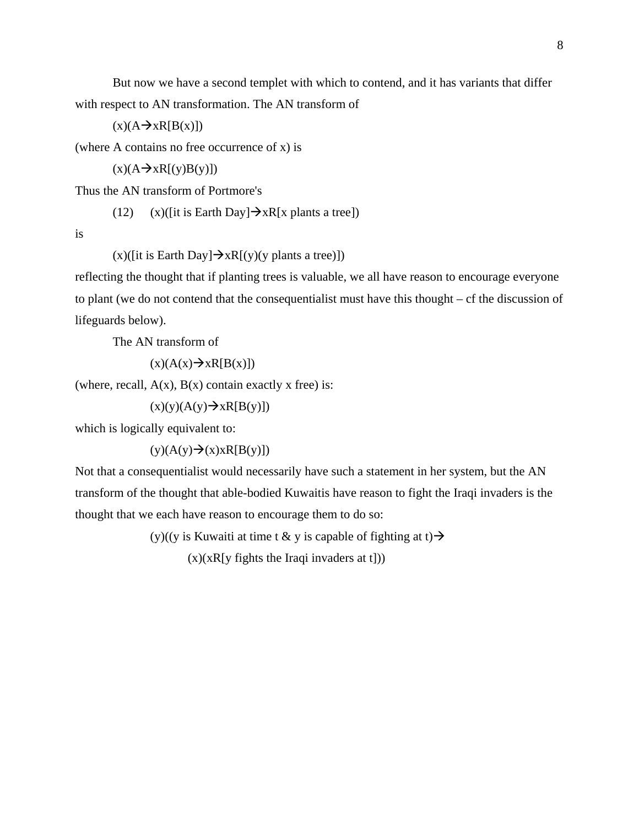But now we have a second templet with which to contend, and it has variants that differ with respect to AN transformation. The AN transform of

 $(x)(A \rightarrow xR[B(x)])$ 

(where A contains no free occurrence of x) is

 $(x)(A\rightarrow xR[(y)B(y)])$ 

Thus the AN transform of Portmore's

(12) (x)([it is Earth Day] $\rightarrow xR[x$  plants a tree])

is

 $(x)($ [it is Earth Day] $\rightarrow xR[(y)(y)$  plants a tree)])

reflecting the thought that if planting trees is valuable, we all have reason to encourage everyone to plant (we do not contend that the consequentialist must have this thought – cf the discussion of lifeguards below).

The AN transform of

 $(x)(A(x) \rightarrow xR[B(x)])$ 

(where, recall,  $A(x)$ ,  $B(x)$  contain exactly x free) is:

 $(x)(y)(A(y) \rightarrow xR[B(y)])$ 

which is logically equivalent to:

 $(y)(A(y) \rightarrow x)xR[B(y)])$ 

Not that a consequentialist would necessarily have such a statement in her system, but the AN transform of the thought that able-bodied Kuwaitis have reason to fight the Iraqi invaders is the thought that we each have reason to encourage them to do so:

(y)((y is Kuwaiti at time t & y is capable of fighting at t)  $\rightarrow$ 

 $(x)(xR[y]$  fights the Iraqi invaders at t])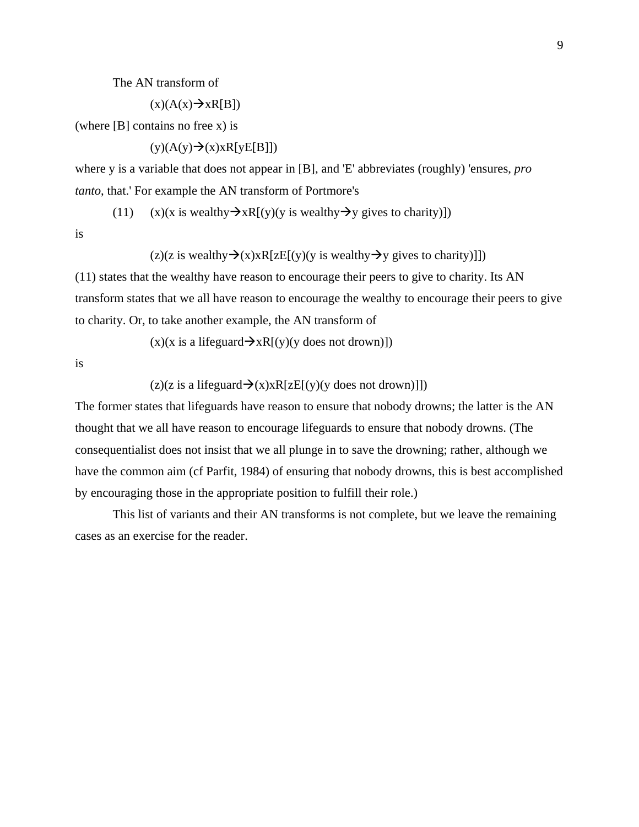The AN transform of

 $(x)(A(x) \rightarrow xR[B])$ 

(where  $[B]$  contains no free x) is

 $(y)(A(y) \rightarrow (x)xR[yE[B]])$ 

where y is a variable that does not appear in [B], and 'E' abbreviates (roughly) 'ensures, *pro tanto*, that.' For example the AN transform of Portmore's

(11) (x)(x is wealthy  $\rightarrow xR[(y)(y)$  is wealthy  $\rightarrow y$  gives to charity)])

is

 $(z)(z)$  is wealthy  $\rightarrow (x)$  $xR[zE[(y)]$  is wealthy  $\rightarrow y$  gives to charity)]])

(11) states that the wealthy have reason to encourage their peers to give to charity. Its AN transform states that we all have reason to encourage the wealthy to encourage their peers to give to charity. Or, to take another example, the AN transform of

 $(x)(x)$  is a lifeguard  $\rightarrow xR[(y)(y)$  does not drown)])

is

 $(z)(z)$  is a lifeguard  $\rightarrow$   $(x)$  $x$ R[zE[(y)(y does not drown)]])

The former states that lifeguards have reason to ensure that nobody drowns; the latter is the AN thought that we all have reason to encourage lifeguards to ensure that nobody drowns. (The consequentialist does not insist that we all plunge in to save the drowning; rather, although we have the common aim (cf Parfit, 1984) of ensuring that nobody drowns, this is best accomplished by encouraging those in the appropriate position to fulfill their role.)

 This list of variants and their AN transforms is not complete, but we leave the remaining cases as an exercise for the reader.